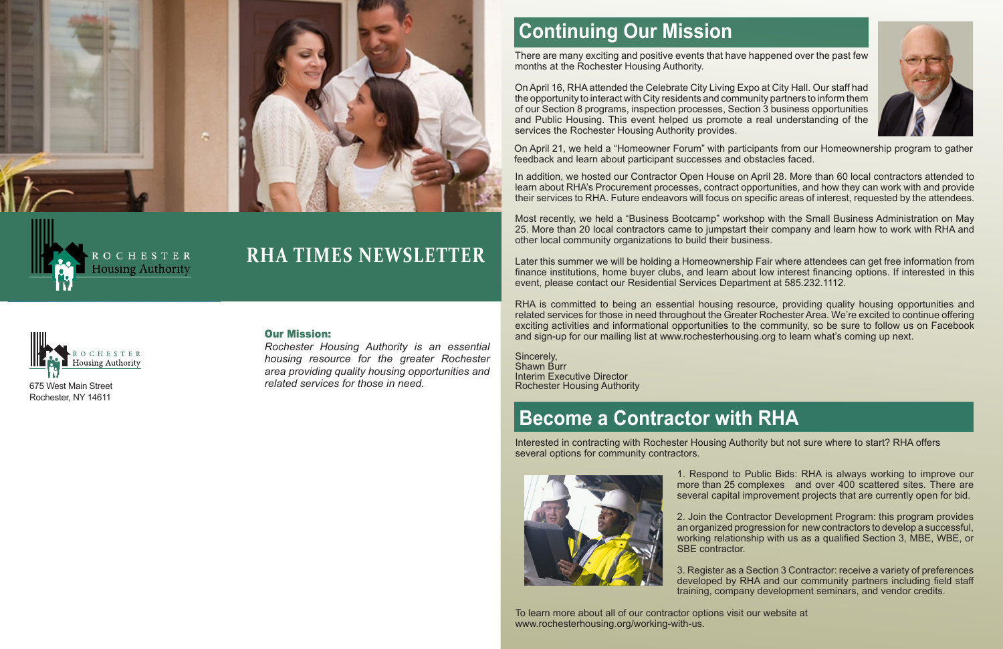

## **RHA TIMES NEWSLETTER**



OCHESTER **Housing Authority** 

## **Continuing Our Mission**

2. Join the Contractor Development Program: this program provides an organized progression for new contractors to develop a successful, working relationship with us as a qualified Section 3, MBE, WBE, or SBE contractor.

1. Respond to Public Bids: RHA is always working to improve our more than 25 complexes and over 400 scattered sites. There are several capital improvement projects that are currently open for bid.

3. Register as a Section 3 Contractor: receive a variety of preferences developed by RHA and our community partners including field staff training, company development seminars, and vendor credits.

# **Become a Contractor with RHA**

Interested in contracting with Rochester Housing Authority but not sure where to start? RHA offers several options for community contractors.



To learn more about all of our contractor options visit our website at www.rochesterhousing.org/working-with-us.



There are many exciting and positive events that have happened over the past few months at the Rochester Housing Authority.

On April 16, RHA attended the Celebrate City Living Expo at City Hall. Our staff had the opportunity to interact with City residents and community partners to inform them of our Section 8 programs, inspection processes, Section 3 business opportunities and Public Housing. This event helped us promote a real understanding of the services the Rochester Housing Authority provides.

In addition, we hosted our Contractor Open House on April 28. More than 60 local contractors attended to learn about RHA's Procurement processes, contract opportunities, and how they can work with and provide their services to RHA. Future endeavors will focus on specific areas of interest, requested by the attendees.

Most recently, we held a "Business Bootcamp" workshop with the Small Business Administration on May 25. More than 20 local contractors came to jumpstart their company and learn how to work with RHA and other local community organizations to build their business.

Later this summer we will be holding a Homeownership Fair where attendees can get free information from finance institutions, home buyer clubs, and learn about low interest financing options. If interested in this event, please contact our Residential Services Department at 585.232.1112.

RHA is committed to being an essential housing resource, providing quality housing opportunities and related services for those in need throughout the Greater Rochester Area. We're excited to continue offering exciting activities and informational opportunities to the community, so be sure to follow us on Facebook and sign-up for our mailing list at www.rochesterhousing.org to learn what's coming up next.

Sincerely, Shawn Burr Interim Executive Director Rochester Housing Authority

*Rochester Housing Authority is an essential housing resource for the greater Rochester area providing quality housing opportunities and related services for those in need.*

On April 21, we held a "Homeowner Forum" with participants from our Homeownership program to gather feedback and learn about participant successes and obstacles faced.

#### Our Mission: